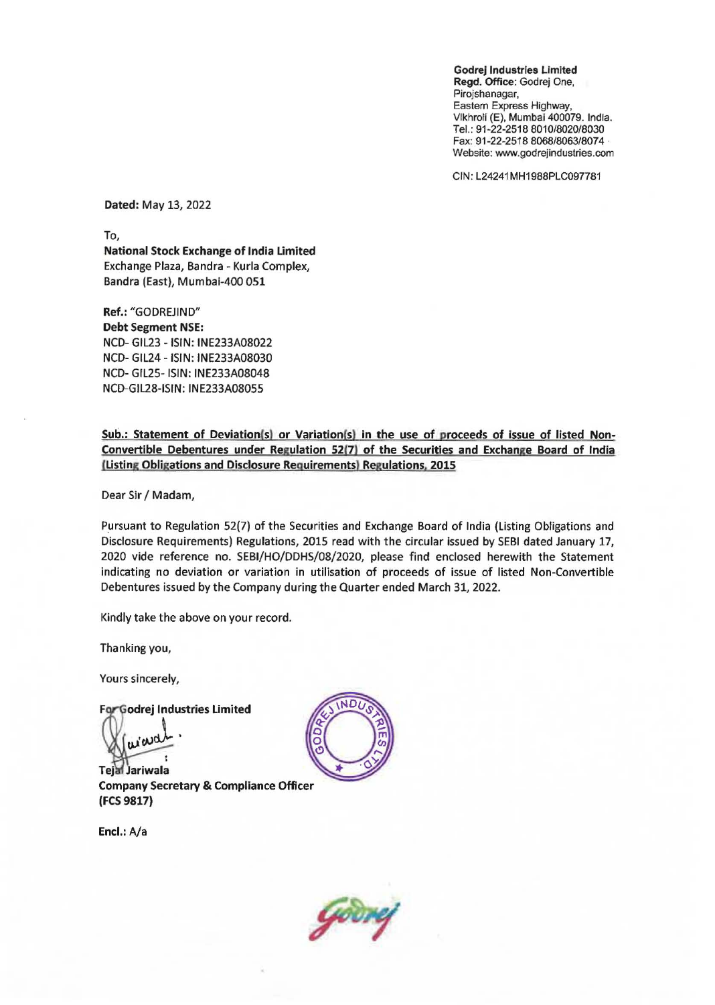Godrej Industries LImited Regd. Office: Godrej One. **Pirojshanagar,**  Eastern Express Highway. Vikhroli (E). Mumbai 400079. India. Tel.: 91-22-2518 *8010/8020/8030*  Fax: 91-22-2518 *8068/8063/8074 .*  Website: www.godrejindustries.com

CIN: L24241MH1988PLC097781

Dated: May 13, 2022

To,

National Stock Exchange of India Limited Exchange Plaza, Bandra - Kurla Complex, Bandra (East), Mumbai-400 051

Ref.: "GODREJIND" Debt Segment NSE: NCD- GIL23 - ISIN: INE233A08022 NCD- GIL24 - ISIN: INE233A08030 NCD- GIL25- ISIN: INE233A08048 NCD-GIL28-ISIN: INE233A08055

Sub.: Statement of Deviation(s) or Variation(s) in the use of proceeds of issue of listed Non-Convertible Debentures under Regulation 52(7) of the Securities and Exchange Board of India (Listing Obligations and Disclosure Requirements) Regulations, 2015

Dear Sir / Madam,

Pursuant to Regulation 52(7) of the Securities and Exchange Board of India (listing Obligations and Disclosure Requirements) Regulations, 2015 read with the circular issued by SEBI dated January 17, 2020 vide reference no. SEBI/HO/DDHS/08/2020, please find enclosed herewith the Statement indicating no deviation or variation in utilisation of proceeds of issue of listed Non-Convertible Debentures issued by the Company during the Quarter ended March 31, 2022.

Kindly take the above on your record.

Thanking you,

Yours sincerely,

For Godrej Industries Limited

wat

Jariwala Company Secretary & Compliance Officer (FCS 9817)

Encl.: A/a



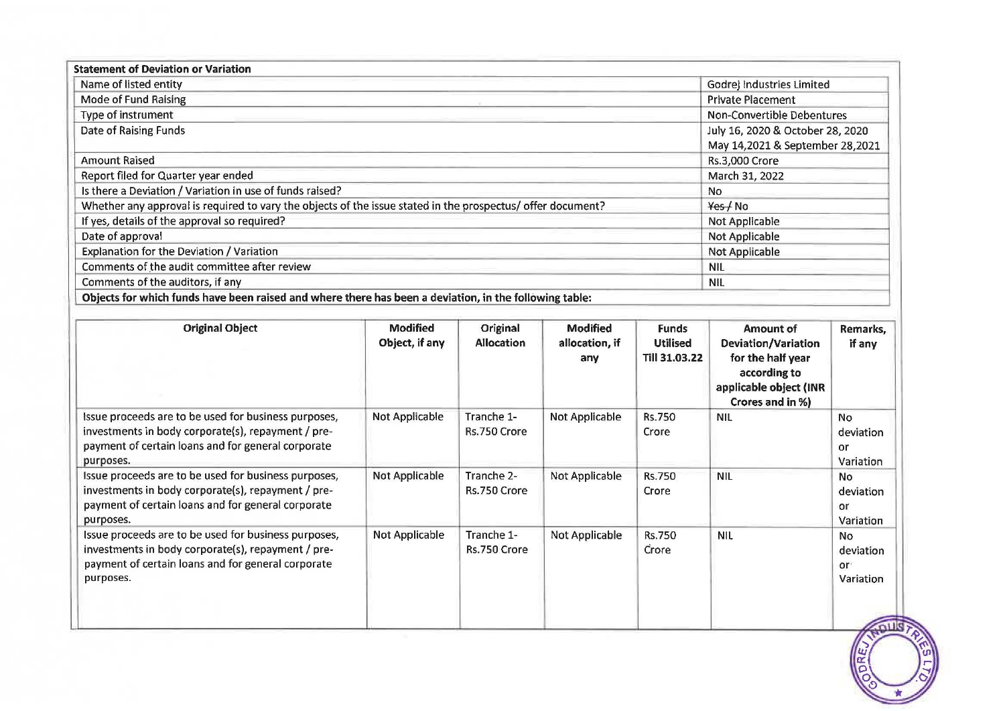| <b>Statement of Deviation or Variation</b>                                                                  |                                                                     |  |
|-------------------------------------------------------------------------------------------------------------|---------------------------------------------------------------------|--|
| Name of listed entity                                                                                       | Godrej Industries Limited                                           |  |
| Mode of Fund Raising                                                                                        | <b>Private Placement</b>                                            |  |
| Type of instrument                                                                                          | <b>Non-Convertible Debentures</b>                                   |  |
| Date of Raising Funds                                                                                       | July 16, 2020 & October 28, 2020<br>May 14,2021 & September 28,2021 |  |
| <b>Amount Raised</b>                                                                                        | Rs.3,000 Crore                                                      |  |
| Report filed for Quarter year ended                                                                         | March 31, 2022                                                      |  |
| Is there a Deviation / Variation in use of funds raised?                                                    | No.                                                                 |  |
| Whether any approval is required to vary the objects of the issue stated in the prospectus/ offer document? | Yes / No                                                            |  |
| If yes, details of the approval so required?                                                                | Not Applicable                                                      |  |
| Date of approval                                                                                            | Not Applicable                                                      |  |
| Explanation for the Deviation / Variation                                                                   | Not Applicable                                                      |  |
| Comments of the audit committee after review                                                                | <b>NIL</b>                                                          |  |
| Comments of the auditors, if any                                                                            | <b>NIL</b>                                                          |  |
| Objects for which funds have been raised and where there has been a deviation, in the following table:      |                                                                     |  |

| <b>Original Object</b>                                                                                                                                                        | <b>Modified</b><br>Object, if any | Original<br><b>Allocation</b> | <b>Modified</b><br>allocation, if<br>any | <b>Funds</b><br><b>Utilised</b><br>Till 31.03.22 | Amount of<br>Deviation/Variation<br>for the half year<br>according to<br>applicable object (INR<br>Crores and in %) | Remarks,<br>if any                        |
|-------------------------------------------------------------------------------------------------------------------------------------------------------------------------------|-----------------------------------|-------------------------------|------------------------------------------|--------------------------------------------------|---------------------------------------------------------------------------------------------------------------------|-------------------------------------------|
| Issue proceeds are to be used for business purposes,<br>investments in body corporate(s), repayment / pre-<br>payment of certain loans and for general corporate<br>purposes. | Not Applicable                    | Tranche 1-<br>Rs.750 Crore    | Not Applicable                           | <b>Rs.750</b><br>Crore                           | <b>NIL</b>                                                                                                          | <b>No</b><br>deviation<br>or<br>Variation |
| Issue proceeds are to be used for business purposes,<br>investments in body corporate(s), repayment / pre-<br>payment of certain loans and for general corporate<br>purposes. | Not Applicable                    | Tranche 2-<br>Rs.750 Crore    | Not Applicable                           | <b>Rs.750</b><br>Crore                           | <b>NIL</b>                                                                                                          | <b>No</b><br>deviation<br>or<br>Variation |
| Issue proceeds are to be used for business purposes,<br>investments in body corporate(s), repayment / pre-<br>payment of certain loans and for general corporate<br>purposes. | <b>Not Applicable</b>             | Tranche 1-<br>Rs.750 Crore    | <b>Not Applicable</b>                    | Rs.750<br>Crore                                  | <b>NIL</b>                                                                                                          | No.<br>deviation<br>or·<br>Variation      |
|                                                                                                                                                                               |                                   |                               |                                          |                                                  |                                                                                                                     |                                           |

 $\mathscr{D}$